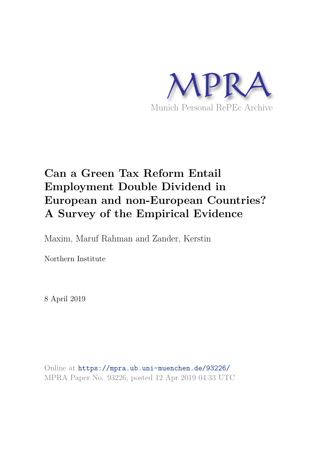

## **Can a Green Tax Reform Entail Employment Double Dividend in European and non-European Countries? A Survey of the Empirical Evidence**

Maxim, Maruf Rahman and Zander, Kerstin

Northern Institute

8 April 2019

Online at https://mpra.ub.uni-muenchen.de/93226/ MPRA Paper No. 93226, posted 12 Apr 2019 04:33 UTC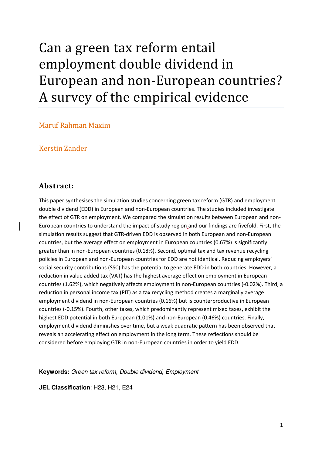# Can a green tax reform entail employment double dividend in European and non-European countries? A survey of the empirical evidence

Maruf Rahman Maxim

Kerstin Zander

### **Abstract:**

This paper synthesises the simulation studies concerning green tax reform (GTR) and employment double dividend (EDD) in European and non-European countries. The studies included investigate the effect of GTR on employment. We compared the simulation results between European and non-European countries to understand the impact of study region and our findings are fivefold. First, the simulation results suggest that GTR-driven EDD is observed in both European and non-European countries, but the average effect on employment in European countries (0.67%) is significantly greater than in non-European countries (0.18%). Second, optimal tax and tax revenue recycling policies in European and non-European countries for EDD are not identical. Reducing employers' social security contributions (SSC) has the potential to generate EDD in both countries. However, a reduction in value added tax (VAT) has the highest average effect on employment in European countries (1.62%), which negatively affects employment in non-European countries (-0.02%). Third, a reduction in personal income tax (PIT) as a tax recycling method creates a marginally average employment dividend in non-European countries (0.16%) but is counterproductive in European countries (-0.15%). Fourth, other taxes, which predominantly represent mixed taxes, exhibit the highest EDD potential in both European (1.01%) and non-European (0.46%) countries. Finally, employment dividend diminishes over time, but a weak quadratic pattern has been observed that reveals an accelerating effect on employment in the long term. These reflections should be considered before employing GTR in non-European countries in order to yield EDD.

**Keywords:** Green tax reform, Double dividend, Employment

**JEL Classification**: H23, H21, E24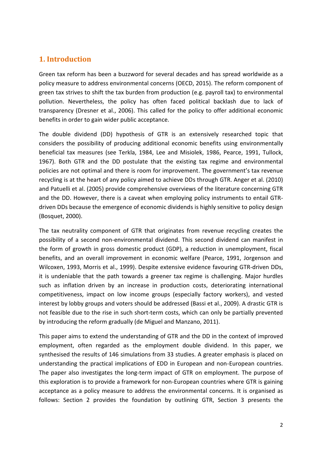### **1. Introduction**

Green tax reform has been a buzzword for several decades and has spread worldwide as a policy measure to address environmental concerns (OECD, 2015). The reform component of green tax strives to shift the tax burden from production (e.g. payroll tax) to environmental pollution. Nevertheless, the policy has often faced political backlash due to lack of transparency (Dresner et al., 2006). This called for the policy to offer additional economic benefits in order to gain wider public acceptance.

The double dividend (DD) hypothesis of GTR is an extensively researched topic that considers the possibility of producing additional economic benefits using environmentally beneficial tax measures (see Terkla, 1984, Lee and Misiolek, 1986, Pearce, 1991, Tullock, 1967). Both GTR and the DD postulate that the existing tax regime and environmental policies are not optimal and there is room for improvement. The government's tax revenue recycling is at the heart of any policy aimed to achieve DDs through GTR. Anger et al. (2010) and Patuelli et al. (2005) provide comprehensive overviews of the literature concerning GTR and the DD. However, there is a caveat when employing policy instruments to entail GTRdriven DDs because the emergence of economic dividends is highly sensitive to policy design (Bosquet, 2000).

The tax neutrality component of GTR that originates from revenue recycling creates the possibility of a second non-environmental dividend. This second dividend can manifest in the form of growth in gross domestic product (GDP), a reduction in unemployment, fiscal benefits, and an overall improvement in economic welfare (Pearce, 1991, Jorgenson and Wilcoxen, 1993, Morris et al., 1999). Despite extensive evidence favouring GTR-driven DDs, it is undeniable that the path towards a greener tax regime is challenging. Major hurdles such as inflation driven by an increase in production costs, deteriorating international competitiveness, impact on low income groups (especially factory workers), and vested interest by lobby groups and voters should be addressed (Bassi et al., 2009). A drastic GTR is not feasible due to the rise in such short-term costs, which can only be partially prevented by introducing the reform gradually (de Miguel and Manzano, 2011).

This paper aims to extend the understanding of GTR and the DD in the context of improved employment, often regarded as the employment double dividend. In this paper, we synthesised the results of 146 simulations from 33 studies. A greater emphasis is placed on understanding the practical implications of EDD in European and non-European countries. The paper also investigates the long-term impact of GTR on employment. The purpose of this exploration is to provide a framework for non-European countries where GTR is gaining acceptance as a policy measure to address the environmental concerns. It is organised as follows: Section 2 provides the foundation by outlining GTR, Section 3 presents the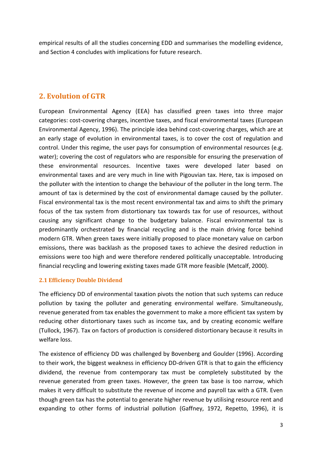empirical results of all the studies concerning EDD and summarises the modelling evidence, and Section 4 concludes with implications for future research.

### **2. Evolution of GTR**

European Environmental Agency (EEA) has classified green taxes into three major categories: cost-covering charges, incentive taxes, and fiscal environmental taxes (European Environmental Agency, 1996). The principle idea behind cost-covering charges, which are at an early stage of evolution in environmental taxes, is to cover the cost of regulation and control. Under this regime, the user pays for consumption of environmental resources (e.g. water); covering the cost of regulators who are responsible for ensuring the preservation of these environmental resources. Incentive taxes were developed later based on environmental taxes and are very much in line with Pigouvian tax. Here, tax is imposed on the polluter with the intention to change the behaviour of the polluter in the long term. The amount of tax is determined by the cost of environmental damage caused by the polluter. Fiscal environmental tax is the most recent environmental tax and aims to shift the primary focus of the tax system from distortionary tax towards tax for use of resources, without causing any significant change to the budgetary balance. Fiscal environmental tax is predominantly orchestrated by financial recycling and is the main driving force behind modern GTR. When green taxes were initially proposed to place monetary value on carbon emissions, there was backlash as the proposed taxes to achieve the desired reduction in emissions were too high and were therefore rendered politically unacceptable. Introducing financial recycling and lowering existing taxes made GTR more feasible (Metcalf, 2000).

### **2.1 Efficiency Double Dividend**

The efficiency DD of environmental taxation pivots the notion that such systems can reduce pollution by taxing the polluter and generating environmental welfare. Simultaneously, revenue generated from tax enables the government to make a more efficient tax system by reducing other distortionary taxes such as income tax, and by creating economic welfare (Tullock, 1967). Tax on factors of production is considered distortionary because it results in welfare loss.

The existence of efficiency DD was challenged by Bovenberg and Goulder (1996). According to their work, the biggest weakness in efficiency DD-driven GTR is that to gain the efficiency dividend, the revenue from contemporary tax must be completely substituted by the revenue generated from green taxes. However, the green tax base is too narrow, which makes it very difficult to substitute the revenue of income and payroll tax with a GTR. Even though green tax has the potential to generate higher revenue by utilising resource rent and expanding to other forms of industrial pollution (Gaffney, 1972, Repetto, 1996), it is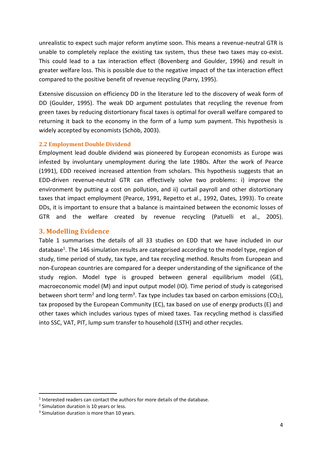unrealistic to expect such major reform anytime soon. This means a revenue-neutral GTR is unable to completely replace the existing tax system, thus these two taxes may co-exist. This could lead to a tax interaction effect (Bovenberg and Goulder, 1996) and result in greater welfare loss. This is possible due to the negative impact of the tax interaction effect compared to the positive benefit of revenue recycling (Parry, 1995).

Extensive discussion on efficiency DD in the literature led to the discovery of weak form of DD (Goulder, 1995). The weak DD argument postulates that recycling the revenue from green taxes by reducing distortionary fiscal taxes is optimal for overall welfare compared to returning it back to the economy in the form of a lump sum payment. This hypothesis is widely accepted by economists (Schöb, 2003).

### **2.2 Employment Double Dividend**

Employment lead double dividend was pioneered by European economists as Europe was infested by involuntary unemployment during the late 1980s. After the work of Pearce (1991), EDD received increased attention from scholars. This hypothesis suggests that an EDD-driven revenue-neutral GTR can effectively solve two problems: i) improve the environment by putting a cost on pollution, and ii) curtail payroll and other distortionary taxes that impact employment (Pearce, 1991, Repetto et al., 1992, Oates, 1993). To create DDs, it is important to ensure that a balance is maintained between the economic losses of GTR and the welfare created by revenue recycling (Patuelli et al., 2005).

### **3. Modelling Evidence**

Table 1 summarises the details of all 33 studies on EDD that we have included in our database<sup>1</sup>. The 146 simulation results are categorised according to the model type, region of study, time period of study, tax type, and tax recycling method. Results from European and non-European countries are compared for a deeper understanding of the significance of the study region. Model type is grouped between general equilibrium model (GE), macroeconomic model (M) and input output model (IO). Time period of study is categorised between short term<sup>2</sup> and long term<sup>3</sup>. Tax type includes tax based on carbon emissions (CO<sub>2</sub>), tax proposed by the European Community (EC), tax based on use of energy products (E) and other taxes which includes various types of mixed taxes. Tax recycling method is classified into SSC, VAT, PIT, lump sum transfer to household (LSTH) and other recycles.

<u>.</u>

 $<sup>1</sup>$  Interested readers can contact the authors for more details of the database.</sup>

<sup>&</sup>lt;sup>2</sup> Simulation duration is 10 years or less.

<sup>&</sup>lt;sup>3</sup> Simulation duration is more than 10 years.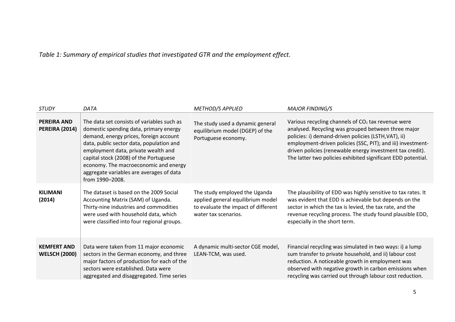### *Table 1: Summary of empirical studies that investigated GTR and the employment effect.*

| <b>STUDY</b>                                | DATA                                                                                                                                                                                                                                                                                                                                                                | <b>METHOD/S APPLIED</b>                                                                                                           | <b>MAJOR FINDING/S</b>                                                                                                                                                                                                                                                                                                                                          |
|---------------------------------------------|---------------------------------------------------------------------------------------------------------------------------------------------------------------------------------------------------------------------------------------------------------------------------------------------------------------------------------------------------------------------|-----------------------------------------------------------------------------------------------------------------------------------|-----------------------------------------------------------------------------------------------------------------------------------------------------------------------------------------------------------------------------------------------------------------------------------------------------------------------------------------------------------------|
| <b>PEREIRA AND</b><br><b>PEREIRA (2014)</b> | The data set consists of variables such as<br>domestic spending data, primary energy<br>demand, energy prices, foreign account<br>data, public sector data, population and<br>employment data, private wealth and<br>capital stock (2008) of the Portuguese<br>economy. The macroeconomic and energy<br>aggregate variables are averages of data<br>from 1990-2008. | The study used a dynamic general<br>equilibrium model (DGEP) of the<br>Portuguese economy.                                        | Various recycling channels of $CO2$ tax revenue were<br>analysed. Recycling was grouped between three major<br>policies: i) demand-driven policies (LSTH, VAT), ii)<br>employment-driven policies (SSC, PIT); and iii) investment-<br>driven policies (renewable energy investment tax credit).<br>The latter two policies exhibited significant EDD potential. |
| <b>KILIMANI</b><br>(2014)                   | The dataset is based on the 2009 Social<br>Accounting Matrix (SAM) of Uganda.<br>Thirty-nine industries and commodities<br>were used with household data, which<br>were classified into four regional groups.                                                                                                                                                       | The study employed the Uganda<br>applied general equilibrium model<br>to evaluate the impact of different<br>water tax scenarios. | The plausibility of EDD was highly sensitive to tax rates. It<br>was evident that EDD is achievable but depends on the<br>sector in which the tax is levied, the tax rate, and the<br>revenue recycling process. The study found plausible EDD,<br>especially in the short term.                                                                                |
| <b>KEMFERT AND</b><br><b>WELSCH (2000)</b>  | Data were taken from 11 major economic<br>sectors in the German economy, and three<br>major factors of production for each of the<br>sectors were established. Data were<br>aggregated and disaggregated. Time series                                                                                                                                               | A dynamic multi-sector CGE model,<br>LEAN-TCM, was used.                                                                          | Financial recycling was simulated in two ways: i) a lump<br>sum transfer to private household, and ii) labour cost<br>reduction. A noticeable growth in employment was<br>observed with negative growth in carbon emissions when<br>recycling was carried out through labour cost reduction.                                                                    |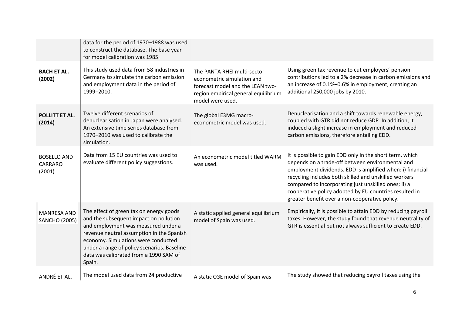|                                            | data for the period of 1970-1988 was used<br>to construct the database. The base year<br>for model calibration was 1985.                                                                                                                                                                                        |                                                                                                                                                           |                                                                                                                                                                                                                                                                                                                                                                                                        |
|--------------------------------------------|-----------------------------------------------------------------------------------------------------------------------------------------------------------------------------------------------------------------------------------------------------------------------------------------------------------------|-----------------------------------------------------------------------------------------------------------------------------------------------------------|--------------------------------------------------------------------------------------------------------------------------------------------------------------------------------------------------------------------------------------------------------------------------------------------------------------------------------------------------------------------------------------------------------|
| <b>BACH ET AL.</b><br>(2002)               | This study used data from 58 industries in<br>Germany to simulate the carbon emission<br>and employment data in the period of<br>1999-2010.                                                                                                                                                                     | The PANTA RHEI multi-sector<br>econometric simulation and<br>forecast model and the LEAN two-<br>region empirical general equilibrium<br>model were used. | Using green tax revenue to cut employers' pension<br>contributions led to a 2% decrease in carbon emissions and<br>an increase of 0.1%-0.6% in employment, creating an<br>additional 250,000 jobs by 2010.                                                                                                                                                                                             |
| POLLITT ET AL.<br>(2014)                   | Twelve different scenarios of<br>denuclearisation in Japan were analysed.<br>An extensive time series database from<br>1970-2010 was used to calibrate the<br>simulation.                                                                                                                                       | The global E3MG macro-<br>econometric model was used.                                                                                                     | Denuclearisation and a shift towards renewable energy,<br>coupled with GTR did not reduce GDP. In addition, it<br>induced a slight increase in employment and reduced<br>carbon emissions, therefore entailing EDD.                                                                                                                                                                                    |
| <b>BOSELLO AND</b><br>CARRARO<br>(2001)    | Data from 15 EU countries was used to<br>evaluate different policy suggestions.                                                                                                                                                                                                                                 | An econometric model titled WARM<br>was used.                                                                                                             | It is possible to gain EDD only in the short term, which<br>depends on a trade-off between environmental and<br>employment dividends. EDD is amplified when: i) financial<br>recycling includes both skilled and unskilled workers<br>compared to incorporating just unskilled ones; ii) a<br>cooperative policy adopted by EU countries resulted in<br>greater benefit over a non-cooperative policy. |
| <b>MANRESA AND</b><br><b>SANCHO (2005)</b> | The effect of green tax on energy goods<br>and the subsequent impact on pollution<br>and employment was measured under a<br>revenue neutral assumption in the Spanish<br>economy. Simulations were conducted<br>under a range of policy scenarios. Baseline<br>data was calibrated from a 1990 SAM of<br>Spain. | A static applied general equilibrium<br>model of Spain was used.                                                                                          | Empirically, it is possible to attain EDD by reducing payroll<br>taxes. However, the study found that revenue neutrality of<br>GTR is essential but not always sufficient to create EDD.                                                                                                                                                                                                               |
| ANDRÉ ET AL.                               | The model used data from 24 productive                                                                                                                                                                                                                                                                          | A static CGE model of Spain was                                                                                                                           | The study showed that reducing payroll taxes using the                                                                                                                                                                                                                                                                                                                                                 |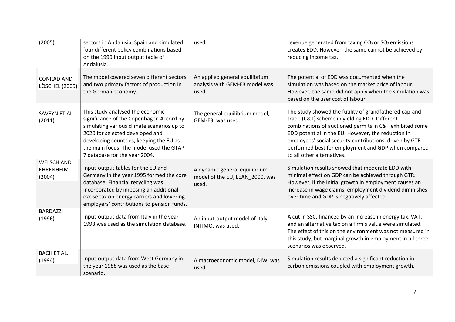| (2005)                                          | sectors in Andalusia, Spain and simulated<br>four different policy combinations based<br>on the 1990 input output table of<br>Andalusia.                                                                                                                                             | used.                                                                     | revenue generated from taxing CO <sub>2</sub> or SO <sub>2</sub> emissions<br>creates EDD. However, the same cannot be achieved by<br>reducing income tax.                                                                                                                                                                                                                |
|-------------------------------------------------|--------------------------------------------------------------------------------------------------------------------------------------------------------------------------------------------------------------------------------------------------------------------------------------|---------------------------------------------------------------------------|---------------------------------------------------------------------------------------------------------------------------------------------------------------------------------------------------------------------------------------------------------------------------------------------------------------------------------------------------------------------------|
| <b>CONRAD AND</b><br><b>LÖSCHEL (2005)</b>      | The model covered seven different sectors<br>and two primary factors of production in<br>the German economy.                                                                                                                                                                         | An applied general equilibrium<br>analysis with GEM-E3 model was<br>used. | The potential of EDD was documented when the<br>simulation was based on the market price of labour.<br>However, the same did not apply when the simulation was<br>based on the user cost of labour.                                                                                                                                                                       |
| SAVEYN ET AL.<br>(2011)                         | This study analysed the economic<br>significance of the Copenhagen Accord by<br>simulating various climate scenarios up to<br>2020 for selected developed and<br>developing countries, keeping the EU as<br>the main focus. The model used the GTAP<br>7 database for the year 2004. | The general equilibrium model,<br>GEM-E3, was used.                       | The study showed the futility of grandfathered cap-and-<br>trade (C&T) scheme in yielding EDD. Different<br>combinations of auctioned permits in C&T exhibited some<br>EDD potential in the EU. However, the reduction in<br>employees' social security contributions, driven by GTR<br>performed best for employment and GDP when compared<br>to all other alternatives. |
| <b>WELSCH AND</b><br><b>EHRENHEIM</b><br>(2004) | Input-output tables for the EU and<br>Germany in the year 1995 formed the core<br>database. Financial recycling was<br>incorporated by imposing an additional<br>excise tax on energy carriers and lowering<br>employers' contributions to pension funds.                            | A dynamic general equilibrium<br>model of the EU, LEAN_2000, was<br>used. | Simulation results showed that moderate EDD with<br>minimal effect on GDP can be achieved through GTR.<br>However, if the initial growth in employment causes an<br>increase in wage claims, employment dividend diminishes<br>over time and GDP is negatively affected.                                                                                                  |
| <b>BARDAZZI</b><br>(1996)                       | Input-output data from Italy in the year<br>1993 was used as the simulation database.                                                                                                                                                                                                | An input-output model of Italy,<br>INTIMO, was used.                      | A cut in SSC, financed by an increase in energy tax, VAT,<br>and an alternative tax on a firm's value were simulated.<br>The effect of this on the environment was not measured in<br>this study, but marginal growth in employment in all three<br>scenarios was observed.                                                                                               |
| <b>BACH ET AL.</b><br>(1994)                    | Input-output data from West Germany in<br>the year 1988 was used as the base<br>scenario.                                                                                                                                                                                            | A macroeconomic model, DIW, was<br>used.                                  | Simulation results depicted a significant reduction in<br>carbon emissions coupled with employment growth.                                                                                                                                                                                                                                                                |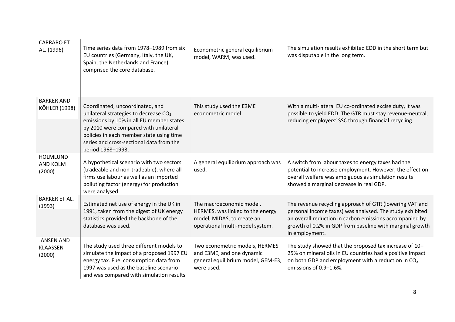| <b>CARRARO ET</b><br>AL. (1996)                | Time series data from 1978-1989 from six<br>EU countries (Germany, Italy, the UK,<br>Spain, the Netherlands and France)<br>comprised the core database.                                                                                                                                | Econometric general equilibrium<br>model, WARM, was used.                                                                     | The simulation results exhibited EDD in the short term but<br>was disputable in the long term.                                                                                                                                                               |
|------------------------------------------------|----------------------------------------------------------------------------------------------------------------------------------------------------------------------------------------------------------------------------------------------------------------------------------------|-------------------------------------------------------------------------------------------------------------------------------|--------------------------------------------------------------------------------------------------------------------------------------------------------------------------------------------------------------------------------------------------------------|
| <b>BARKER AND</b><br><b>KÖHLER (1998)</b>      | Coordinated, uncoordinated, and<br>unilateral strategies to decrease CO <sub>2</sub><br>emissions by 10% in all EU member states<br>by 2010 were compared with unilateral<br>policies in each member state using time<br>series and cross-sectional data from the<br>period 1968-1993. | This study used the E3ME<br>econometric model.                                                                                | With a multi-lateral EU co-ordinated excise duty, it was<br>possible to yield EDD. The GTR must stay revenue-neutral,<br>reducing employers' SSC through financial recycling.                                                                                |
| <b>HOLMLUND</b><br>AND KOLM<br>(2000)          | A hypothetical scenario with two sectors<br>(tradeable and non-tradeable), where all<br>firms use labour as well as an imported<br>polluting factor (energy) for production<br>were analysed.                                                                                          | A general equilibrium approach was<br>used.                                                                                   | A switch from labour taxes to energy taxes had the<br>potential to increase employment. However, the effect on<br>overall welfare was ambiguous as simulation results<br>showed a marginal decrease in real GDP.                                             |
| <b>BARKER ET AL.</b><br>(1993)                 | Estimated net use of energy in the UK in<br>1991, taken from the digest of UK energy<br>statistics provided the backbone of the<br>database was used.                                                                                                                                  | The macroeconomic model,<br>HERMES, was linked to the energy<br>model, MIDAS, to create an<br>operational multi-model system. | The revenue recycling approach of GTR (lowering VAT and<br>personal income taxes) was analysed. The study exhibited<br>an overall reduction in carbon emissions accompanied by<br>growth of 0.2% in GDP from baseline with marginal growth<br>in employment. |
| <b>JANSEN AND</b><br><b>KLAASSEN</b><br>(2000) | The study used three different models to<br>simulate the impact of a proposed 1997 EU<br>energy tax. Fuel consumption data from<br>1997 was used as the baseline scenario<br>and was compared with simulation results                                                                  | Two econometric models, HERMES<br>and E3ME, and one dynamic<br>general equilibrium model, GEM-E3,<br>were used.               | The study showed that the proposed tax increase of 10-<br>25% on mineral oils in EU countries had a positive impact<br>on both GDP and employment with a reduction in $CO2$<br>emissions of 0.9-1.6%.                                                        |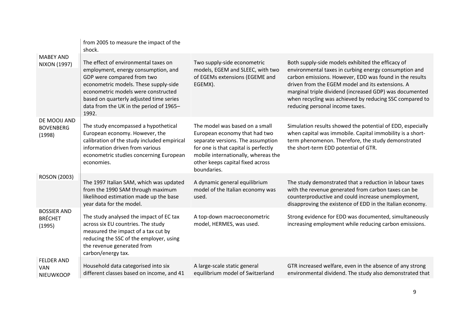|                                                     | from 2005 to measure the impact of the<br>shock.                                                                                                                                                                                                                                         |                                                                                                                                                                                                                                        |                                                                                                                                                                                                                                                                                                                                                                                    |
|-----------------------------------------------------|------------------------------------------------------------------------------------------------------------------------------------------------------------------------------------------------------------------------------------------------------------------------------------------|----------------------------------------------------------------------------------------------------------------------------------------------------------------------------------------------------------------------------------------|------------------------------------------------------------------------------------------------------------------------------------------------------------------------------------------------------------------------------------------------------------------------------------------------------------------------------------------------------------------------------------|
| <b>MABEY AND</b><br><b>NIXON (1997)</b>             | The effect of environmental taxes on<br>employment, energy consumption, and<br>GDP were compared from two<br>econometric models. These supply-side<br>econometric models were constructed<br>based on quarterly adjusted time series<br>data from the UK in the period of 1965-<br>1992. | Two supply-side econometric<br>models, EGEM and SLEEC, with two<br>of EGEMs extensions (EGEME and<br>EGEMX).                                                                                                                           | Both supply-side models exhibited the efficacy of<br>environmental taxes in curbing energy consumption and<br>carbon emissions. However, EDD was found in the results<br>driven from the EGEM model and its extensions. A<br>marginal triple dividend (increased GDP) was documented<br>when recycling was achieved by reducing SSC compared to<br>reducing personal income taxes. |
| DE MOOIJ AND<br><b>BOVENBERG</b><br>(1998)          | The study encompassed a hypothetical<br>European economy. However, the<br>calibration of the study included empirical<br>information driven from various<br>econometric studies concerning European<br>economies.                                                                        | The model was based on a small<br>European economy that had two<br>separate versions. The assumption<br>for one is that capital is perfectly<br>mobile internationally, whereas the<br>other keeps capital fixed across<br>boundaries. | Simulation results showed the potential of EDD, especially<br>when capital was immobile. Capital immobility is a short-<br>term phenomenon. Therefore, the study demonstrated<br>the short-term EDD potential of GTR.                                                                                                                                                              |
| <b>ROSON (2003)</b>                                 | The 1997 Italian SAM, which was updated<br>from the 1990 SAM through maximum<br>likelihood estimation made up the base<br>year data for the model.                                                                                                                                       | A dynamic general equilibrium<br>model of the Italian economy was<br>used.                                                                                                                                                             | The study demonstrated that a reduction in labour taxes<br>with the revenue generated from carbon taxes can be<br>counterproductive and could increase unemployment,<br>disapproving the existence of EDD in the Italian economy.                                                                                                                                                  |
| <b>BOSSIER AND</b><br><b>BRÉCHET</b><br>(1995)      | The study analysed the impact of EC tax<br>across six EU countries. The study<br>measured the impact of a tax cut by<br>reducing the SSC of the employer, using<br>the revenue generated from<br>carbon/energy tax.                                                                      | A top-down macroeconometric<br>model, HERMES, was used.                                                                                                                                                                                | Strong evidence for EDD was documented, simultaneously<br>increasing employment while reducing carbon emissions.                                                                                                                                                                                                                                                                   |
| <b>FELDER AND</b><br><b>VAN</b><br><b>NIEUWKOOP</b> | Household data categorised into six<br>different classes based on income, and 41                                                                                                                                                                                                         | A large-scale static general<br>equilibrium model of Switzerland                                                                                                                                                                       | GTR increased welfare, even in the absence of any strong<br>environmental dividend. The study also demonstrated that                                                                                                                                                                                                                                                               |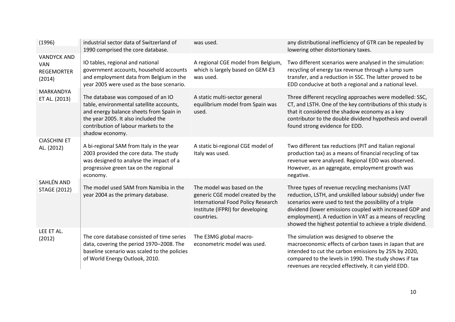| (1996)                                                                                                                   | industrial sector data of Switzerland of<br>1990 comprised the core database.                                                                                                                                                | was used.                                                                                                                                              | any distributional inefficiency of GTR can be repealed by<br>lowering other distortionary taxes.                                                                                                                                                                                                                                                              |
|--------------------------------------------------------------------------------------------------------------------------|------------------------------------------------------------------------------------------------------------------------------------------------------------------------------------------------------------------------------|--------------------------------------------------------------------------------------------------------------------------------------------------------|---------------------------------------------------------------------------------------------------------------------------------------------------------------------------------------------------------------------------------------------------------------------------------------------------------------------------------------------------------------|
| <b>VANDYCK AND</b><br><b>VAN</b><br><b>REGEMORTER</b><br>(2014)                                                          | IO tables, regional and national<br>government accounts, household accounts<br>and employment data from Belgium in the<br>year 2005 were used as the base scenario.                                                          | A regional CGE model from Belgium,<br>which is largely based on GEM-E3<br>was used.                                                                    | Two different scenarios were analysed in the simulation:<br>recycling of energy tax revenue through a lump sum<br>transfer, and a reduction in SSC. The latter proved to be<br>EDD conducive at both a regional and a national level.                                                                                                                         |
| MARKANDYA<br>ET AL. (2013)                                                                                               | The database was composed of an IO<br>table, environmental satellite accounts,<br>and energy balance sheets from Spain in<br>the year 2005. It also included the<br>contribution of labour markets to the<br>shadow economy. | A static multi-sector general<br>equilibrium model from Spain was<br>used.                                                                             | Three different recycling approaches were modelled: SSC,<br>CT, and LSTH. One of the key contributions of this study is<br>that it considered the shadow economy as a key<br>contributor to the double dividend hypothesis and overall<br>found strong evidence for EDD.                                                                                      |
| <b>CIASCHINI ET</b><br>AL. (2012)                                                                                        | A bi-regional SAM from Italy in the year<br>2003 provided the core data. The study<br>was designed to analyse the impact of a<br>progressive green tax on the regional<br>economy.                                           | A static bi-regional CGE model of<br>Italy was used.                                                                                                   | Two different tax reductions (PIT and Italian regional<br>production tax) as a means of financial recycling of tax<br>revenue were analysed. Regional EDD was observed.<br>However, as an aggregate, employment growth was<br>negative.                                                                                                                       |
| <b>SAHLÉN AND</b><br>The model used SAM from Namibia in the<br><b>STAGE (2012)</b><br>year 2004 as the primary database. |                                                                                                                                                                                                                              | The model was based on the<br>generic CGE model created by the<br>International Food Policy Research<br>Institute (IFPRI) for developing<br>countries. | Three types of revenue recycling mechanisms (VAT<br>reduction, LSTH, and unskilled labour subsidy) under five<br>scenarios were used to test the possibility of a triple<br>dividend (lower emissions coupled with increased GDP and<br>employment). A reduction in VAT as a means of recycling<br>showed the highest potential to achieve a triple dividend. |
| LEE ET AL.<br>(2012)                                                                                                     | The core database consisted of time series<br>data, covering the period 1970-2008. The<br>baseline scenario was scaled to the policies<br>of World Energy Outlook, 2010.                                                     | The E3MG global macro-<br>econometric model was used.                                                                                                  | The simulation was designed to observe the<br>macroeconomic effects of carbon taxes in Japan that are<br>intended to cut the carbon emissions by 25% by 2020,<br>compared to the levels in 1990. The study shows if tax<br>revenues are recycled effectively, it can yield EDD.                                                                               |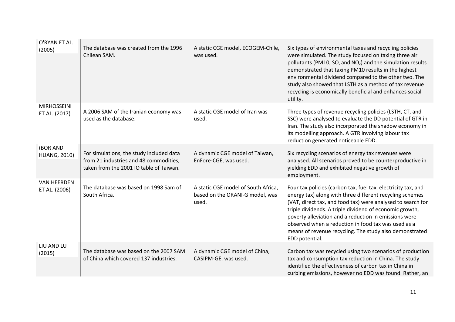| O'RYAN ET AL.<br>(2005)             | The database was created from the 1996<br>Chilean SAM.                                                                        | A static CGE model, ECOGEM-Chile,<br>was used.                                  | Six types of environmental taxes and recycling policies<br>were simulated. The study focused on taxing three air<br>pollutants (PM10, $SO_2$ and NO <sub>2</sub> ) and the simulation results<br>demonstrated that taxing PM10 results in the highest<br>environmental dividend compared to the other two. The<br>study also showed that LSTH as a method of tax revenue<br>recycling is economically beneficial and enhances social<br>utility. |
|-------------------------------------|-------------------------------------------------------------------------------------------------------------------------------|---------------------------------------------------------------------------------|--------------------------------------------------------------------------------------------------------------------------------------------------------------------------------------------------------------------------------------------------------------------------------------------------------------------------------------------------------------------------------------------------------------------------------------------------|
| <b>MIRHOSSEINI</b><br>ET AL. (2017) | A 2006 SAM of the Iranian economy was<br>used as the database.                                                                | A static CGE model of Iran was<br>used.                                         | Three types of revenue recycling policies (LSTH, CT, and<br>SSC) were analysed to evaluate the DD potential of GTR in<br>Iran. The study also incorporated the shadow economy in<br>its modelling approach. A GTR involving labour tax<br>reduction generated noticeable EDD.                                                                                                                                                                    |
| (BOR AND<br><b>HUANG, 2010)</b>     | For simulations, the study included data<br>from 21 industries and 48 commodities,<br>taken from the 2001 IO table of Taiwan. | A dynamic CGE model of Taiwan,<br>EnFore-CGE, was used.                         | Six recycling scenarios of energy tax revenues were<br>analysed. All scenarios proved to be counterproductive in<br>yielding EDD and exhibited negative growth of<br>employment.                                                                                                                                                                                                                                                                 |
| <b>VAN HEERDEN</b><br>ET AL. (2006) | The database was based on 1998 Sam of<br>South Africa.                                                                        | A static CGE model of South Africa,<br>based on the ORANI-G model, was<br>used. | Four tax policies (carbon tax, fuel tax, electricity tax, and<br>energy tax) along with three different recycling schemes<br>(VAT, direct tax, and food tax) were analysed to search for<br>triple dividends. A triple dividend of economic growth,<br>poverty alleviation and a reduction in emissions were<br>observed when a reduction in food tax was used as a<br>means of revenue recycling. The study also demonstrated<br>EDD potential. |
| LIU AND LU<br>(2015)                | The database was based on the 2007 SAM<br>of China which covered 137 industries.                                              | A dynamic CGE model of China,<br>CASIPM-GE, was used.                           | Carbon tax was recycled using two scenarios of production<br>tax and consumption tax reduction in China. The study<br>identified the effectiveness of carbon tax in China in<br>curbing emissions, however no EDD was found. Rather, an                                                                                                                                                                                                          |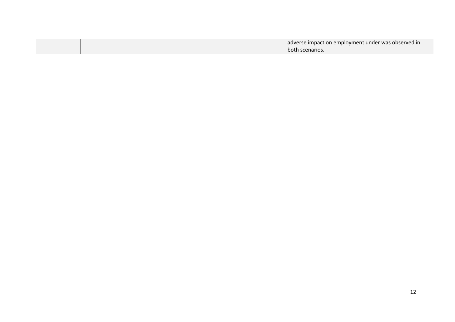| adverse impact on employment under was observed in |
|----------------------------------------------------|
| both scenarios.                                    |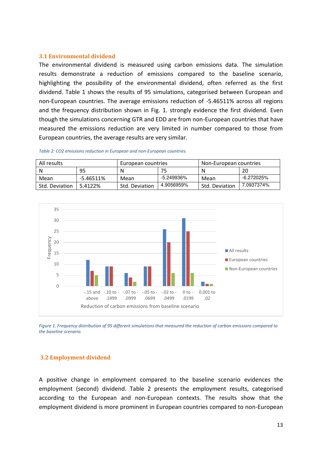#### **3.1 Environmental dividend**

The environmental dividend is measured using carbon emissions data. The simulation results demonstrate a reduction of emissions compared to the baseline scenario, highlighting the possibility of the environmental dividend, often referred as the first dividend. Table 1 shows the results of 95 simulations, categorised between European and non-European countries. The average emissions reduction of -5.46511% across all regions and the frequency distribution shown in Fig. 1. strongly evidence the first dividend. Even though the simulations concerning GTR and EDD are from non-European countries that have measured the emissions reduction are very limited in number compared to those from European countries, the average results are very similar.

| All results    |           | European countries |            | Non-European countries |            |  |
|----------------|-----------|--------------------|------------|------------------------|------------|--|
| N              | 95        | N                  |            |                        | 20         |  |
| Mean           | -5.46511% | Mean               | -5.249936% | Mean                   | -6.272025% |  |
| Std. Deviation | 5.4122%   | Std. Deviation     | 4.9056959% | Std. Deviation         | 7.0937374% |  |

*Table 2: CO2 emissions reduction in European and non-European countries.* 



*Figure 1. Frequency distribution of 95 different simulations that measured the reduction of carbon emissions compared to the baseline scenario.* 

#### **3.2 Employment dividend**

A positive change in employment compared to the baseline scenario evidences the employment (second) dividend. Table 2 presents the employment results, categorised according to the European and non-European contexts. The results show that the employment dividend is more prominent in European countries compared to non-European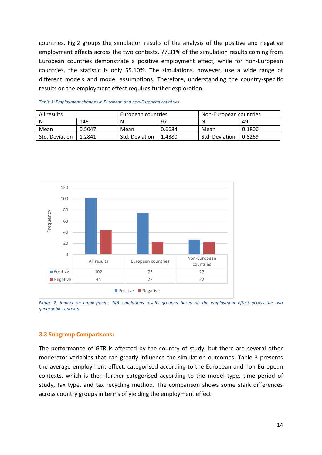countries. Fig.2 groups the simulation results of the analysis of the positive and negative employment effects across the two contexts. 77.31% of the simulation results coming from European countries demonstrate a positive employment effect, while for non-European countries, the statistic is only 55.10%. The simulations, however, use a wide range of different models and model assumptions. Therefore, understanding the country-specific results on the employment effect requires further exploration.

| All results    |        | European countries |        | Non-European countries |        |  |
|----------------|--------|--------------------|--------|------------------------|--------|--|
| N              | 146    | 97<br>Ν            |        | N                      | 49     |  |
| Mean           | 0.5047 | Mean               | 0.6684 | Mean                   | 0.1806 |  |
| Std. Deviation | 1.2841 | Std. Deviation     | 1.4380 | Std. Deviation         | 0.8269 |  |

*Table 1: Employment changes in European and non-European countries.* 



*Figure 2. Impact on employment: 146 simulations results grouped based on the employment effect across the two geographic contexts.* 

#### **3.3 Subgroup Comparisons:**

The performance of GTR is affected by the country of study, but there are several other moderator variables that can greatly influence the simulation outcomes. Table 3 presents the average employment effect, categorised according to the European and non-European contexts, which is then further categorised according to the model type, time period of study, tax type, and tax recycling method. The comparison shows some stark differences across country groups in terms of yielding the employment effect.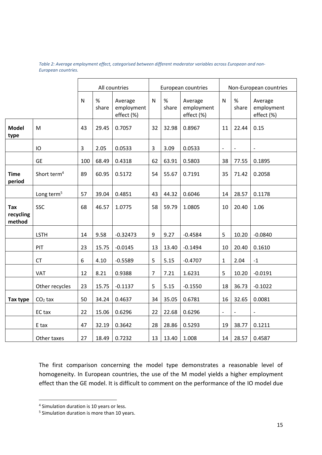*Table 2: Average employment effect, categorised between different moderator variables across European and non-European countries.* 

|                            |                         | All countries  |               |                                     | European countries |               |                                     | Non-European countries   |                |                                     |
|----------------------------|-------------------------|----------------|---------------|-------------------------------------|--------------------|---------------|-------------------------------------|--------------------------|----------------|-------------------------------------|
|                            |                         | $\mathsf{N}$   | $\%$<br>share | Average<br>employment<br>effect (%) | $\mathsf{N}$       | $\%$<br>share | Average<br>employment<br>effect (%) | $\mathsf{N}$             | %<br>share     | Average<br>employment<br>effect (%) |
| <b>Model</b><br>type       | M                       | 43             | 29.45         | 0.7057                              | 32                 | 32.98         | 0.8967                              | 11                       | 22.44          | 0.15                                |
|                            | IO                      | $\overline{3}$ | 2.05          | 0.0533                              | 3                  | 3.09          | 0.0533                              | $\overline{\phantom{a}}$ | $\overline{a}$ | $\qquad \qquad -$                   |
|                            | <b>GE</b>               | 100            | 68.49         | 0.4318                              | 62                 | 63.91         | 0.5803                              | 38                       | 77.55          | 0.1895                              |
| <b>Time</b><br>period      | Short term <sup>4</sup> | 89             | 60.95         | 0.5172                              | 54                 | 55.67         | 0.7191                              | 35                       | 71.42          | 0.2058                              |
|                            | Long term <sup>5</sup>  | 57             | 39.04         | 0.4851                              | 43                 | 44.32         | 0.6046                              | 14                       | 28.57          | 0.1178                              |
| Tax<br>recycling<br>method | <b>SSC</b>              | 68             | 46.57         | 1.0775                              | 58                 | 59.79         | 1.0805                              | 10                       | 20.40          | 1.06                                |
|                            | <b>LSTH</b>             | 14             | 9.58          | $-0.32473$                          | 9                  | 9.27          | $-0.4584$                           | 5                        | 10.20          | $-0.0840$                           |
|                            | PIT                     | 23             | 15.75         | $-0.0145$                           | 13                 | 13.40         | $-0.1494$                           | 10                       | 20.40          | 0.1610                              |
|                            | <b>CT</b>               | 6              | 4.10          | $-0.5589$                           | 5                  | 5.15          | $-0.4707$                           | $\mathbf{1}$             | 2.04           | $^{\mbox{{\small -1}}}$             |
|                            | VAT                     | 12             | 8.21          | 0.9388                              | $\overline{7}$     | 7.21          | 1.6231                              | 5                        | 10.20          | $-0.0191$                           |
|                            | Other recycles          | 23             | 15.75         | $-0.1137$                           | 5                  | 5.15          | $-0.1550$                           | 18                       | 36.73          | $-0.1022$                           |
| Tax type                   | $CO2$ tax               | 50             | 34.24         | 0.4637                              | 34                 | 35.05         | 0.6781                              | 16                       | 32.65          | 0.0081                              |
|                            | EC tax                  | 22             | 15.06         | 0.6296                              | 22                 | 22.68         | 0.6296                              | $\blacksquare$           | $\overline{a}$ |                                     |
|                            | E tax                   | 47             | 32.19         | 0.3642                              | 28                 | 28.86         | 0.5293                              | 19                       | 38.77          | 0.1211                              |
|                            | Other taxes             | 27             | 18.49         | 0.7232                              | 13                 | 13.40         | 1.008                               | 14                       | 28.57          | 0.4587                              |

The first comparison concerning the model type demonstrates a reasonable level of homogeneity. In European countries, the use of the M model yields a higher employment effect than the GE model. It is difficult to comment on the performance of the IO model due

<u>.</u>

<sup>&</sup>lt;sup>4</sup> Simulation duration is 10 years or less.

<sup>&</sup>lt;sup>5</sup> Simulation duration is more than 10 years.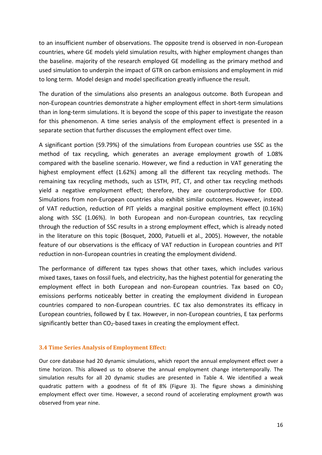to an insufficient number of observations. The opposite trend is observed in non-European countries, where GE models yield simulation results, with higher employment changes than the baseline. majority of the research employed GE modelling as the primary method and used simulation to underpin the impact of GTR on carbon emissions and employment in mid to long term. Model design and model specification greatly influence the result.

The duration of the simulations also presents an analogous outcome. Both European and non-European countries demonstrate a higher employment effect in short-term simulations than in long-term simulations. It is beyond the scope of this paper to investigate the reason for this phenomenon. A time series analysis of the employment effect is presented in a separate section that further discusses the employment effect over time.

A significant portion (59.79%) of the simulations from European countries use SSC as the method of tax recycling, which generates an average employment growth of 1.08% compared with the baseline scenario. However, we find a reduction in VAT generating the highest employment effect (1.62%) among all the different tax recycling methods. The remaining tax recycling methods, such as LSTH, PIT, CT, and other tax recycling methods yield a negative employment effect; therefore, they are counterproductive for EDD. Simulations from non-European countries also exhibit similar outcomes. However, instead of VAT reduction, reduction of PIT yields a marginal positive employment effect (0.16%) along with SSC (1.06%). In both European and non-European countries, tax recycling through the reduction of SSC results in a strong employment effect, which is already noted in the literature on this topic (Bosquet, 2000, Patuelli et al., 2005). However, the notable feature of our observations is the efficacy of VAT reduction in European countries and PIT reduction in non-European countries in creating the employment dividend.

The performance of different tax types shows that other taxes, which includes various mixed taxes, taxes on fossil fuels, and electricity, has the highest potential for generating the employment effect in both European and non-European countries. Tax based on  $CO<sub>2</sub>$ emissions performs noticeably better in creating the employment dividend in European countries compared to non-European countries. EC tax also demonstrates its efficacy in European countries, followed by E tax. However, in non-European countries, E tax performs significantly better than  $CO<sub>2</sub>$ -based taxes in creating the employment effect.

#### **3.4 Time Series Analysis of Employment Effect:**

Our core database had 20 dynamic simulations, which report the annual employment effect over a time horizon. This allowed us to observe the annual employment change intertemporally. The simulation results for all 20 dynamic studies are presented in Table 4. We identified a weak quadratic pattern with a goodness of fit of 8% (Figure 3). The figure shows a diminishing employment effect over time. However, a second round of accelerating employment growth was observed from year nine.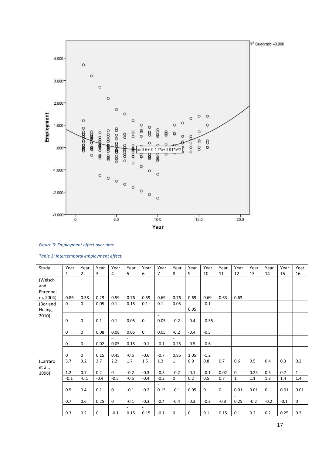

#### *Figure 3: Employment effect over time*

| Table 3: Intertemporal employment effect. |  |
|-------------------------------------------|--|
|-------------------------------------------|--|

| Study    | Year        | Year           | Year        | Year     | Year           | Year           | Year           | Year                     | Year   | Year    | Year           | Year         | Year   | Year        | Year   | Year         |
|----------|-------------|----------------|-------------|----------|----------------|----------------|----------------|--------------------------|--------|---------|----------------|--------------|--------|-------------|--------|--------------|
|          | 1           | $\overline{2}$ | 3           | 4        | 5              | 6              | 7              | 8                        | 9      | 10      | 11             | 12           | 13     | 14          | 15     | 16           |
| (Welsch  |             |                |             |          |                |                |                |                          |        |         |                |              |        |             |        |              |
| and      |             |                |             |          |                |                |                |                          |        |         |                |              |        |             |        |              |
| Ehrenhei |             |                |             |          |                |                |                |                          |        |         |                |              |        |             |        |              |
| m, 2004) | 0.86        | 0.38           | 0.29        | 0.59     | 0.76           | 0.59           | 0.69           | 0.76                     | 0.69   | 0.69    | 0.63           | 0.63         |        |             |        |              |
| (Bor and | $\Omega$    | $\Omega$       | 0.05        | 0.1      | 0.15           | 0.1            | 0.1            | 0.05                     |        | $-0.1$  |                |              |        |             |        |              |
| Huang,   |             |                |             |          |                |                |                |                          | 0.05   |         |                |              |        |             |        |              |
| 2010)    |             |                |             |          |                |                | $\overline{a}$ |                          |        |         |                |              |        |             |        |              |
|          | 0           | $\mathsf 0$    | 0.1         | 0.1      | 0.05           | $\mathbf 0$    | 0.05           | $-0.2$                   | $-0.4$ | $-0.55$ |                |              |        |             |        |              |
|          |             |                |             |          |                |                |                |                          |        |         |                |              |        |             |        |              |
|          | 0           | $\mathbf 0$    | 0.08        | 0.08     | 0.05           | $\mathbf 0$    | 0.05           | $-0.2$                   | $-0.4$ | $-0.5$  |                |              |        |             |        |              |
|          |             |                |             |          | $\blacksquare$ |                |                | $\blacksquare$           |        |         |                |              |        |             |        |              |
|          | 0           | $\mathbf 0$    | 0.02        | 0.05     | 0.15           | $-0.1$         | $-0.1$         | 0.25                     | $-0.5$ | $-0.6$  |                |              |        |             |        |              |
|          |             |                |             |          |                |                |                | $\overline{\phantom{a}}$ |        |         |                |              |        |             |        |              |
|          | $\mathbf 0$ | $\mathbf 0$    | 0.15        | 0.45     | $-0.5$         | $-0.6$         | $-0.7$         | 0.85                     | 1.05   | $-1.2$  |                |              |        |             |        |              |
| (Carraro | 3.7         | 3.2            | 2.7         | 2.2      | 1.7            | 1.5            | 1.2            | $\mathbf{1}$             | 0.9    | 0.8     | 0.7            | 0.6          | 0.5    | 0.4         | 0.3    | 0.2          |
| et al.,  |             |                |             |          |                |                |                |                          |        |         | $\blacksquare$ |              |        |             |        |              |
| 1996)    | 1.2         | 0.7            | 0.2         | $\Omega$ | $-0.2$         | $-0.3$         | $-0.3$         | $-0.2$                   | $-0.1$ | $-0.1$  | 0.02           | $\Omega$     | 0.25   | 0.5         | 0.7    | $\mathbf{1}$ |
|          | $-0.1$      | $-0.1$         | $-0.4$      | $-0.5$   | $-0.5$         | $-0.4$         | $-0.2$         | $\mathsf{O}$             | 0.2    | 0.5     | 0.7            | $\mathbf{1}$ | 1.1    | 1.3         | 1.4    | 1.4          |
|          |             |                |             |          |                |                |                |                          |        |         |                |              |        |             |        |              |
|          | 0.5         | 0.4            | 0.1         | 0        | $-0.1$         | $-0.2$         | 0.15           | $-0.1$                   | 0.05   | 0       | $\mathsf 0$    | 0.01         | 0.01   | $\mathbf 0$ | 0.01   | 0.01         |
|          | 0.7         | 0.6            | 0.25        | 0        | $-0.1$         | $-0.3$         | $-0.4$         | $-0.4$                   | $-0.3$ | $-0.3$  | $-0.3$         | 0.25         | $-0.2$ | $-0.2$      | $-0.1$ | $\mathbf 0$  |
|          |             |                |             |          | $\overline{a}$ | $\blacksquare$ |                |                          |        |         |                |              |        |             |        |              |
|          | 0.3         | 0.2            | $\mathbf 0$ | $-0.1$   | 0.15           | 0.15           | $-0.1$         | 0                        | 0      | 0.1     | 0.15           | 0.1          | 0.2    | 0.2         | 0.25   | 0.3          |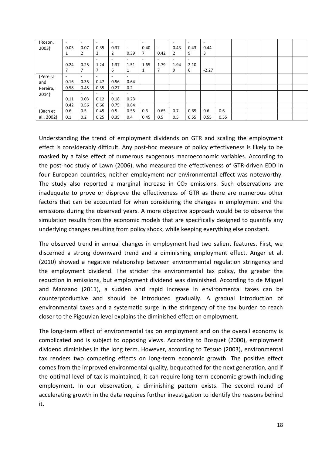| (Roson,    | $\overline{\phantom{a}}$ | $\overline{\phantom{a}}$ |                          |      |                          | $\overline{\phantom{a}}$ |                          |                          | $\overline{\phantom{a}}$ | $\overline{\phantom{a}}$ |      |  |  |  |
|------------|--------------------------|--------------------------|--------------------------|------|--------------------------|--------------------------|--------------------------|--------------------------|--------------------------|--------------------------|------|--|--|--|
| 2003)      | 0.05                     | 0.07                     | 0.35                     | 0.37 | $\overline{\phantom{a}}$ | 0.40                     | $\overline{\phantom{a}}$ | 0.43                     | 0.43                     | 0.44                     |      |  |  |  |
|            | 1                        | 2                        | $\overline{2}$           | 2    | 0.39                     | 7                        | 0.42                     | $\overline{2}$           | 9                        | 3                        |      |  |  |  |
|            |                          |                          |                          |      | ۰                        | $\blacksquare$           | $\overline{\phantom{a}}$ | $\overline{\phantom{a}}$ | -                        |                          |      |  |  |  |
|            | 0.24                     | 0.25                     | 1.24                     | 1.37 | 1.51                     | 1.65                     | 1.79                     | 1.94                     | 2.10                     |                          |      |  |  |  |
|            |                          |                          |                          | 6    | 1                        | 1                        |                          | 9                        | 6                        | $-2.27$                  |      |  |  |  |
| (Pereira   | $\overline{\phantom{a}}$ | $\overline{\phantom{a}}$ |                          |      |                          |                          |                          |                          |                          |                          |      |  |  |  |
| and        | 0.16                     | 0.35                     | 0.47                     | 0.56 | 0.64                     |                          |                          |                          |                          |                          |      |  |  |  |
| Pereira,   | 0.58                     | 0.45                     | 0.35                     | 0.27 | 0.2                      |                          |                          |                          |                          |                          |      |  |  |  |
| 2014)      |                          | $\overline{\phantom{a}}$ | $\overline{\phantom{a}}$ |      |                          |                          |                          |                          |                          |                          |      |  |  |  |
|            | 0.11                     | 0.03                     | 0.12                     | 0.18 | 0.23                     |                          |                          |                          |                          |                          |      |  |  |  |
|            | 0.42                     | 0.56                     | 0.66                     | 0.75 | 0.84                     |                          |                          |                          |                          |                          |      |  |  |  |
| (Bach et   | 0.6                      | 0.5                      | 0.45                     | 0.5  | 0.55                     | 0.6                      | 0.65                     | 0.7                      | 0.65                     | 0.6                      | 0.6  |  |  |  |
| al., 2002) | 0.1                      | 0.2                      | 0.25                     | 0.35 | 0.4                      | 0.45                     | 0.5                      | 0.5                      | 0.55                     | 0.55                     | 0.55 |  |  |  |

Understanding the trend of employment dividends on GTR and scaling the employment effect is considerably difficult. Any post-hoc measure of policy effectiveness is likely to be masked by a false effect of numerous exogenous macroeconomic variables. According to the post-hoc study of Lawn (2006), who measured the effectiveness of GTR-driven EDD in four European countries, neither employment nor environmental effect was noteworthy. The study also reported a marginal increase in  $CO<sub>2</sub>$  emissions. Such observations are inadequate to prove or disprove the effectiveness of GTR as there are numerous other factors that can be accounted for when considering the changes in employment and the emissions during the observed years. A more objective approach would be to observe the simulation results from the economic models that are specifically designed to quantify any underlying changes resulting from policy shock, while keeping everything else constant.

The observed trend in annual changes in employment had two salient features. First, we discerned a strong downward trend and a diminishing employment effect. Anger et al. (2010) showed a negative relationship between environmental regulation stringency and the employment dividend. The stricter the environmental tax policy, the greater the reduction in emissions, but employment dividend was diminished. According to de Miguel and Manzano (2011), a sudden and rapid increase in environmental taxes can be counterproductive and should be introduced gradually. A gradual introduction of environmental taxes and a systematic surge in the stringency of the tax burden to reach closer to the Pigouvian level explains the diminished effect on employment.

The long-term effect of environmental tax on employment and on the overall economy is complicated and is subject to opposing views. According to Bosquet (2000), employment dividend diminishes in the long term. However, according to Tetsuo (2003), environmental tax renders two competing effects on long-term economic growth. The positive effect comes from the improved environmental quality, bequeathed for the next generation, and if the optimal level of tax is maintained, it can require long-term economic growth including employment. In our observation, a diminishing pattern exists. The second round of accelerating growth in the data requires further investigation to identify the reasons behind it.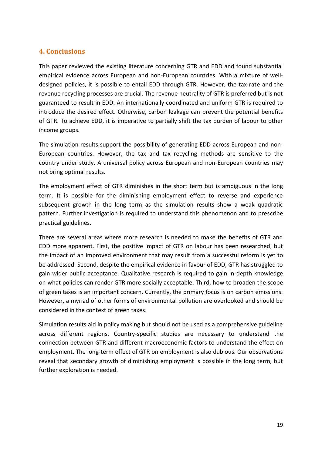### **4. Conclusions**

This paper reviewed the existing literature concerning GTR and EDD and found substantial empirical evidence across European and non-European countries. With a mixture of welldesigned policies, it is possible to entail EDD through GTR. However, the tax rate and the revenue recycling processes are crucial. The revenue neutrality of GTR is preferred but is not guaranteed to result in EDD. An internationally coordinated and uniform GTR is required to introduce the desired effect. Otherwise, carbon leakage can prevent the potential benefits of GTR. To achieve EDD, it is imperative to partially shift the tax burden of labour to other income groups.

The simulation results support the possibility of generating EDD across European and non-European countries. However, the tax and tax recycling methods are sensitive to the country under study. A universal policy across European and non-European countries may not bring optimal results.

The employment effect of GTR diminishes in the short term but is ambiguous in the long term. It is possible for the diminishing employment effect to reverse and experience subsequent growth in the long term as the simulation results show a weak quadratic pattern. Further investigation is required to understand this phenomenon and to prescribe practical guidelines.

There are several areas where more research is needed to make the benefits of GTR and EDD more apparent. First, the positive impact of GTR on labour has been researched, but the impact of an improved environment that may result from a successful reform is yet to be addressed. Second, despite the empirical evidence in favour of EDD, GTR has struggled to gain wider public acceptance. Qualitative research is required to gain in-depth knowledge on what policies can render GTR more socially acceptable. Third, how to broaden the scope of green taxes is an important concern. Currently, the primary focus is on carbon emissions. However, a myriad of other forms of environmental pollution are overlooked and should be considered in the context of green taxes.

Simulation results aid in policy making but should not be used as a comprehensive guideline across different regions. Country-specific studies are necessary to understand the connection between GTR and different macroeconomic factors to understand the effect on employment. The long-term effect of GTR on employment is also dubious. Our observations reveal that secondary growth of diminishing employment is possible in the long term, but further exploration is needed.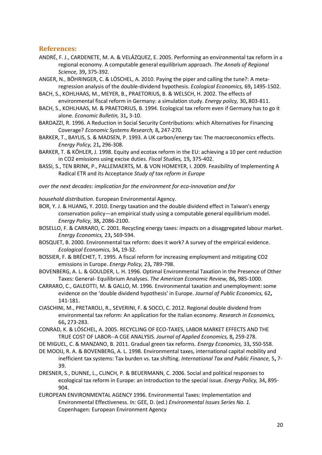### **References:**

- ANDRÉ, F. J., CARDENETE, M. A. & VELÁZQUEZ, E. 2005. Performing an environmental tax reform in a regional economy. A computable general equilibrium approach. *The Annals of Regional Science,* 39**,** 375-392.
- ANGER, N., BÖHRINGER, C. & LÖSCHEL, A. 2010. Paying the piper and calling the tune?: A metaregression analysis of the double-dividend hypothesis. *Ecological Economics,* 69**,** 1495-1502.
- BACH, S., KOHLHAAS, M., MEYER, B., PRAETORIUS, B. & WELSCH, H. 2002. The effects of environmental fiscal reform in Germany: a simulation study. *Energy policy,* 30**,** 803-811.
- BACH, S., KOHLHAAS, M. & PRAETORIUS, B. 1994. Ecological tax reform even if Germany has to go it alone. *Economic Bulletin,* 31**,** 3-10.
- BARDAZZI, R. 1996. A Reduction in Social Security Contributions: which Alternatives for Financing Coverage? *Economic Systems Research,* 8**,** 247-270.
- BARKER, T., BAYLIS, S. & MADSEN, P. 1993. A UK carbon/energy tax: The macroeconomics effects. *Energy Policy,* 21**,** 296-308.
- BARKER, T. & KÖHLER, J. 1998. Equity and ecotax reform in the EU: achieving a 10 per cent reduction in CO2 emissions using excise duties. *Fiscal Studies,* 19**,** 375-402.
- BASSI, S., TEN BRINK, P., PALLEMAERTS, M. & VON HOMEYER, I. 2009. Feasibility of Implementing A Radical ETR and its Acceptance *Study of tax reform in Europe*

*over the next decades: implication for the environment for eco-innovation and for* 

*household distribution.* European Environmental Agency.

- BOR, Y. J. & HUANG, Y. 2010. Energy taxation and the double dividend effect in Taiwan's energy conservation policy—an empirical study using a computable general equilibrium model. *Energy Policy,* 38**,** 2086-2100.
- BOSELLO, F. & CARRARO, C. 2001. Recycling energy taxes: impacts on a disaggregated labour market. *Energy Economics,* 23**,** 569-594.
- BOSQUET, B. 2000. Environmental tax reform: does it work? A survey of the empirical evidence. *Ecological Economics,* 34**,** 19-32.
- BOSSIER, F. & BRÉCHET, T. 1995. A fiscal reform for increasing employment and mitigating CO2 emissions in Europe. *Energy Policy,* 23**,** 789-798.
- BOVENBERG, A. L. & GOULDER, L. H. 1996. Optimal Environmental Taxation in the Presence of Other Taxes: General- Equilibrium Analyses. *The American Economic Review,* 86**,** 985-1000.
- CARRARO, C., GALEOTTI, M. & GALLO, M. 1996. Environmental taxation and unemployment: some evidence on the 'double dividend hypothesis' in Europe. *Journal of Public Economics,* 62**,** 141-181.
- CIASCHINI, M., PRETAROLI, R., SEVERINI, F. & SOCCI, C. 2012. Regional double dividend from environmental tax reform: An application for the Italian economy. *Research in Economics,* 66**,** 273-283.
- CONRAD, K. & LÖSCHEL, A. 2005. RECYCLING OF ECO-TAXES, LABOR MARKET EFFECTS AND THE TRUE COST OF LABOR--A CGE ANALYSIS. *Journal of Applied Economics,* 8**,** 259-278.
- DE MIGUEL, C. & MANZANO, B. 2011. Gradual green tax reforms. *Energy Economics,* 33**,** S50-S58.
- DE MOOIJ, R. A. & BOVENBERG, A. L. 1998. Environmental taxes, international capital mobility and inefficient tax systems: Tax burden vs. tax shifting. *International Tax and Public Finance,* 5**,** 7- 39.
- DRESNER, S., DUNNE, L., CLINCH, P. & BEUERMANN, C. 2006. Social and political responses to ecological tax reform in Europe: an introduction to the special issue. *Energy Policy,* 34**,** 895- 904.
- EUROPEAN ENVIRONMENTAL AGENCY 1996. Environmental Taxes: Implementation and Environmental Effectiveness. *In:* GEE, D. (ed.) *Environmental Issues Series No. 1.* Copenhagen: European Environment Agency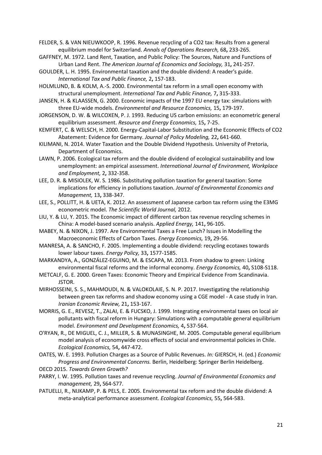FELDER, S. & VAN NIEUWKOOP, R. 1996. Revenue recycling of a CO2 tax: Results from a general equilibrium model for Switzerland. *Annals of Operations Research,* 68**,** 233-265.

- GAFFNEY, M. 1972. Land Rent, Taxation, and Public Policy: The Sources, Nature and Functions of Urban Land Rent. *The American Journal of Economics and Sociology,* 31**,** 241-257.
- GOULDER, L. H. 1995. Environmental taxation and the double dividend: A reader's guide. *International Tax and Public Finance,* 2**,** 157-183.
- HOLMLUND, B. & KOLM, A.-S. 2000. Environmental tax reform in a small open economy with structural unemployment. *International Tax and Public Finance,* 7**,** 315-333.
- JANSEN, H. & KLAASSEN, G. 2000. Economic impacts of the 1997 EU energy tax: simulations with three EU-wide models. *Environmental and Resource Economics,* 15**,** 179-197.
- JORGENSON, D. W. & WILCOXEN, P. J. 1993. Reducing US carbon emissions: an econometric general equilibrium assessment. *Resource and Energy Economics,* 15**,** 7-25.
- KEMFERT, C. & WELSCH, H. 2000. Energy-Capital-Labor Substitution and the Economic Effects of CO2 Abatement: Evidence for Germany. *Journal of Policy Modeling,* 22**,** 641-660.
- KILIMANI, N. 2014. Water Taxation and the Double Dividend Hypothesis. University of Pretoria, Department of Economics.
- LAWN, P. 2006. Ecological tax reform and the double dividend of ecological sustainability and low unemployment: an empirical assessment. *International Journal of Environment, Workplace and Employment,* 2**,** 332-358.
- LEE, D. R. & MISIOLEK, W. S. 1986. Substituting pollution taxation for general taxation: Some implications for efficiency in pollutions taxation. *Journal of Environmental Economics and Management,* 13**,** 338-347.
- LEE, S., POLLITT, H. & UETA, K. 2012. An assessment of Japanese carbon tax reform using the E3MG econometric model. *The Scientific World Journal,* 2012.
- LIU, Y. & LU, Y. 2015. The Economic impact of different carbon tax revenue recycling schemes in China: A model-based scenario analysis. *Applied Energy,* 141**,** 96-105.
- MABEY, N. & NIXON, J. 1997. Are Environmental Taxes a Free Lunch? Issues in Modelling the Macroeconomic Effects of Carbon Taxes. *Energy Economics,* 19**,** 29-56.
- MANRESA, A. & SANCHO, F. 2005. Implementing a double dividend: recycling ecotaxes towards lower labour taxes. *Energy Policy,* 33**,** 1577-1585.
- MARKANDYA, A., GONZÁLEZ-EGUINO, M. & ESCAPA, M. 2013. From shadow to green: Linking environmental fiscal reforms and the informal economy. *Energy Economics,* 40**,** S108-S118.
- METCALF, G. E. 2000. Green Taxes: Economic Theory and Empirical Evidence From Scandinavia. JSTOR.
- MIRHOSSEINI, S. S., MAHMOUDI, N. & VALOKOLAIE, S. N. P. 2017. Investigating the relationship between green tax reforms and shadow economy using a CGE model - A case study in Iran. *Iranian Economic Review,* 21**,** 153-167.
- MORRIS, G. E., REVESZ, T., ZALAI, E. & FUCSKO, J. 1999. Integrating environmental taxes on local air pollutants with fiscal reform in Hungary: Simulations with a computable general equilibrium model. *Environment and Development Economics,* 4**,** 537-564.
- O'RYAN, R., DE MIGUEL, C. J., MILLER, S. & MUNASINGHE, M. 2005. Computable general equilibrium model analysis of economywide cross effects of social and environmental policies in Chile. *Ecological Economics,* 54**,** 447-472.
- OATES, W. E. 1993. Pollution Charges as a Source of Public Revenues. *In:* GIERSCH, H. (ed.) *Economic Progress and Environmental Concerns.* Berlin, Heidelberg: Springer Berlin Heidelberg. OECD 2015. *Towards Green Growth?*
- PARRY, I. W. 1995. Pollution taxes and revenue recycling. *Journal of Environmental Economics and management,* 29**,** S64-S77.
- PATUELLI, R., NIJKAMP, P. & PELS, E. 2005. Environmental tax reform and the double dividend: A meta-analytical performance assessment. *Ecological Economics,* 55**,** 564-583.